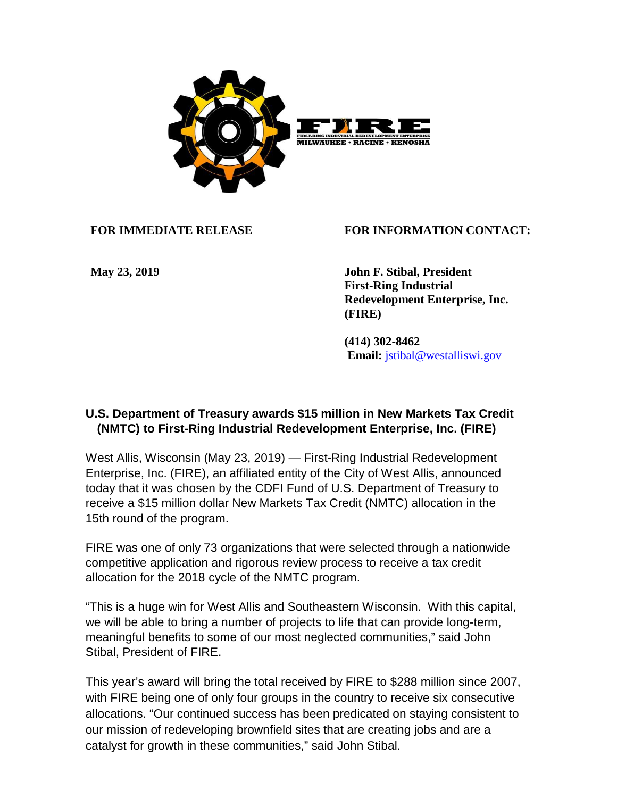

**FOR IMMEDIATE RELEASE FOR INFORMATION CONTACT:**

**May 23, 2019 John F. Stibal, President First-Ring Industrial Redevelopment Enterprise, Inc. (FIRE)**

> **(414) 302-8462 Email:** [jstibal@westalliswi.gov](mailto:jstibal@westalliswi.gov)

## **U.S. Department of Treasury awards \$15 million in New Markets Tax Credit (NMTC) to First-Ring Industrial Redevelopment Enterprise, Inc. (FIRE)**

West Allis, Wisconsin (May 23, 2019) — First-Ring Industrial Redevelopment Enterprise, Inc. (FIRE), an affiliated entity of the City of West Allis, announced today that it was chosen by the CDFI Fund of U.S. Department of Treasury to receive a \$15 million dollar New Markets Tax Credit (NMTC) allocation in the 15th round of the program.

FIRE was one of only 73 organizations that were selected through a nationwide competitive application and rigorous review process to receive a tax credit allocation for the 2018 cycle of the NMTC program.

"This is a huge win for West Allis and Southeastern Wisconsin. With this capital, we will be able to bring a number of projects to life that can provide long-term, meaningful benefits to some of our most neglected communities," said John Stibal, President of FIRE.

This year's award will bring the total received by FIRE to \$288 million since 2007, with FIRE being one of only four groups in the country to receive six consecutive allocations. "Our continued success has been predicated on staying consistent to our mission of redeveloping brownfield sites that are creating jobs and are a catalyst for growth in these communities," said John Stibal.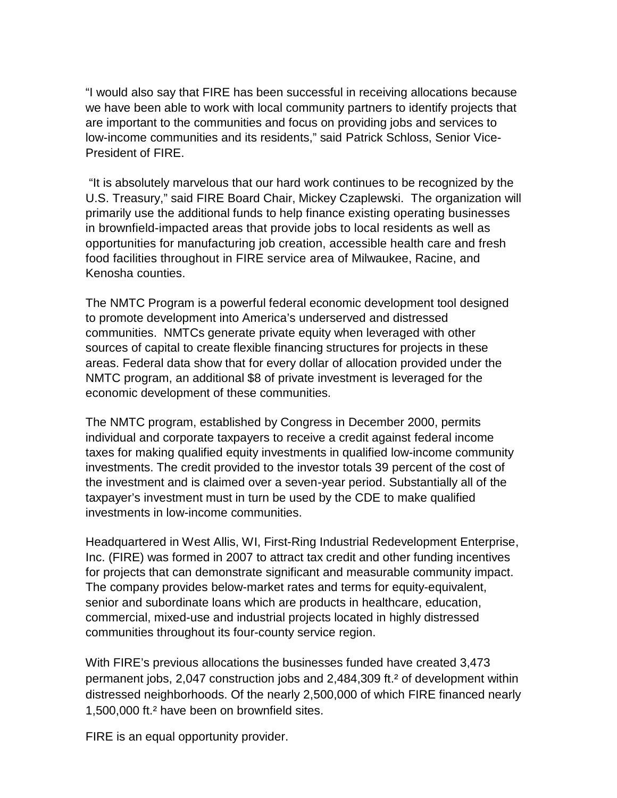"I would also say that FIRE has been successful in receiving allocations because we have been able to work with local community partners to identify projects that are important to the communities and focus on providing jobs and services to low-income communities and its residents," said Patrick Schloss, Senior Vice-President of FIRE.

"It is absolutely marvelous that our hard work continues to be recognized by the U.S. Treasury," said FIRE Board Chair, Mickey Czaplewski. The organization will primarily use the additional funds to help finance existing operating businesses in brownfield-impacted areas that provide jobs to local residents as well as opportunities for manufacturing job creation, accessible health care and fresh food facilities throughout in FIRE service area of Milwaukee, Racine, and Kenosha counties.

The NMTC Program is a powerful federal economic development tool designed to promote development into America's underserved and distressed communities. NMTCs generate private equity when leveraged with other sources of capital to create flexible financing structures for projects in these areas. Federal data show that for every dollar of allocation provided under the NMTC program, an additional \$8 of private investment is leveraged for the economic development of these communities.

The NMTC program, established by Congress in December 2000, permits individual and corporate taxpayers to receive a credit against federal income taxes for making qualified equity investments in qualified low-income community investments. The credit provided to the investor totals 39 percent of the cost of the investment and is claimed over a seven-year period. Substantially all of the taxpayer's investment must in turn be used by the CDE to make qualified investments in low-income communities.

Headquartered in West Allis, WI, First-Ring Industrial Redevelopment Enterprise, Inc. (FIRE) was formed in 2007 to attract tax credit and other funding incentives for projects that can demonstrate significant and measurable community impact. The company provides below-market rates and terms for equity-equivalent, senior and subordinate loans which are products in healthcare, education, commercial, mixed-use and industrial projects located in highly distressed communities throughout its four-county service region.

With FIRE's previous allocations the businesses funded have created 3,473 permanent jobs, 2,047 construction jobs and 2,484,309 ft.² of development within distressed neighborhoods. Of the nearly 2,500,000 of which FIRE financed nearly 1,500,000 ft.² have been on brownfield sites.

FIRE is an equal opportunity provider.